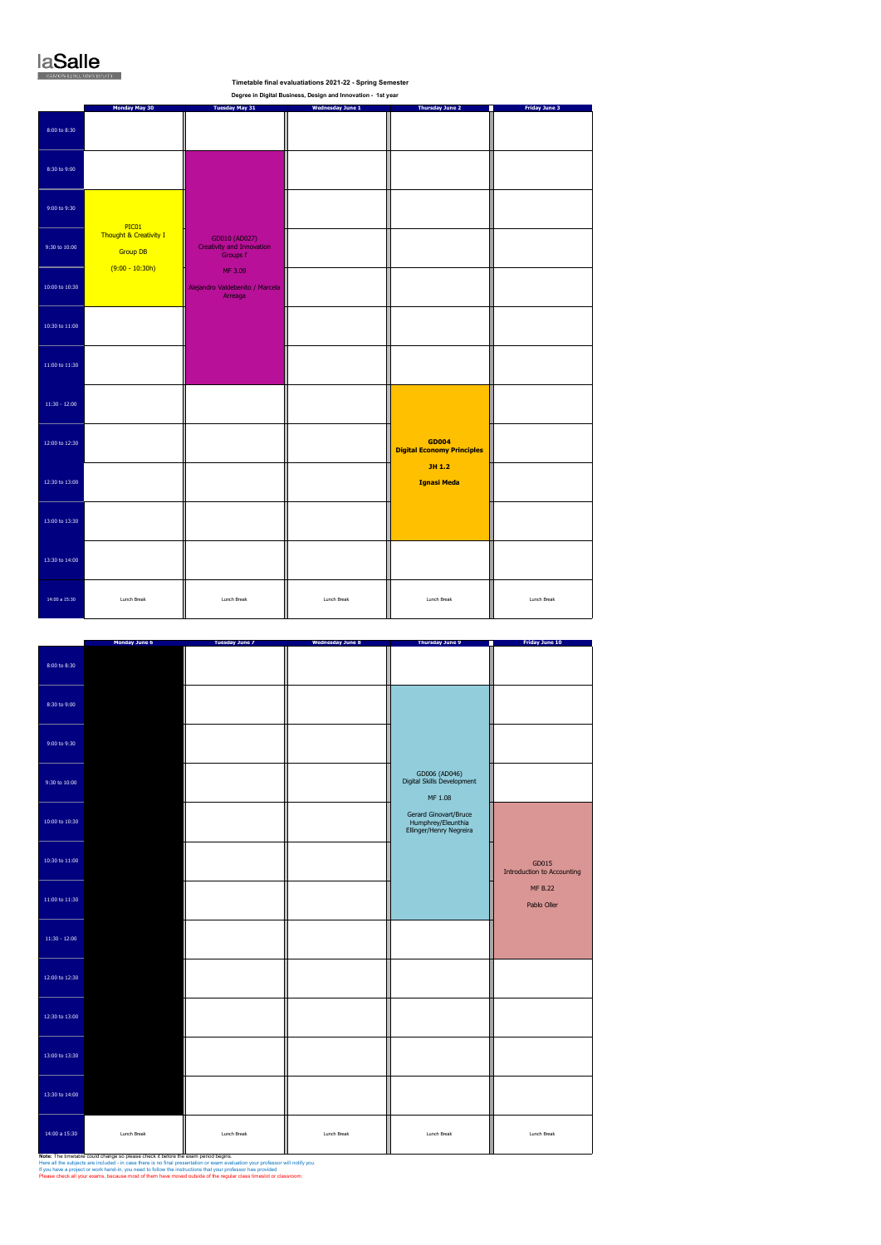## laSalle

## **Monday May 30 Tuesday May 31 Wednesday June 1 Thursday June 2 Friday June 3** 8:00 to 8:30 8:30 to 9:00 9:00 to 9:30 9:30 to 10:00 10:00 to 10:30 10:30 to 11:00 11:00 to 11:30 11:30 - 12:00 12:00 to 12:30 12:30 to 13:00 13:00 to 13:30 13:30 to 14:00  **Timetable final evaluatiations 2021-22 - Spring Semester Degree in Digital Business, Design and Innovation - 1st year**  PIC01 Thought & Creativity I **Group DB**  $(9:00 - 10:30h)$ **GD004 Digital Economy Principles JH 1.2 Ignasi Meda** GD010 (AD027) Creativity and Innovation Groups f MF 3.09 Alejandro Valdebenito / Marcela Arreaga

14:00 a 15:30 Lunch Break HI Lunch Break HI Lunch Break HI Lunch Break HI Lunch Break HI Lunch Break HI Lunch Break

|                 | <b>Monday June 6</b> | <b>Tuesday June 7</b> | <b>Wednesday June 8</b> | <b>Thursday June 9</b>                                                 | <b>Friday June 10</b>                      |
|-----------------|----------------------|-----------------------|-------------------------|------------------------------------------------------------------------|--------------------------------------------|
| 8:00 to 8:30    |                      |                       |                         |                                                                        |                                            |
| 8:30 to 9:00    |                      |                       |                         |                                                                        |                                            |
| 9:00 to 9:30    |                      |                       |                         |                                                                        |                                            |
| 9:30 to 10:00   |                      |                       |                         | GD006 (AD046)<br>Digital Skills Development<br>MF 1.08                 |                                            |
| 10:00 to 10:30  |                      |                       |                         | Gerard Ginovart/Bruce<br>Humphrey/Eleunthia<br>Ellinger/Henry Negreira |                                            |
| 10:30 to 11:00  |                      |                       |                         |                                                                        | GD015<br><b>Introduction to Accounting</b> |
| 11:00 to 11:30  |                      |                       |                         |                                                                        | <b>MF B.22</b><br>Pablo Oller              |
| $11:30 - 12:00$ |                      |                       |                         |                                                                        |                                            |
| 12:00 to 12:30  |                      |                       |                         |                                                                        |                                            |
| 12:30 to 13:00  |                      |                       |                         |                                                                        |                                            |
| 13:00 to 13:30  |                      |                       |                         |                                                                        |                                            |
| 13:30 to 14:00  |                      |                       |                         |                                                                        |                                            |
| 14:00 a 15:30   | Lunch Break          | Lunch Break           | Lunch Break             | Lunch Break                                                            | Lunch Break                                |

**Note:** The timetable could change so please check it before the exam period begins.<br>Here all the subjects are included - in case there is no final presentation or exam evaluation your professor will notify you.<br>If you hav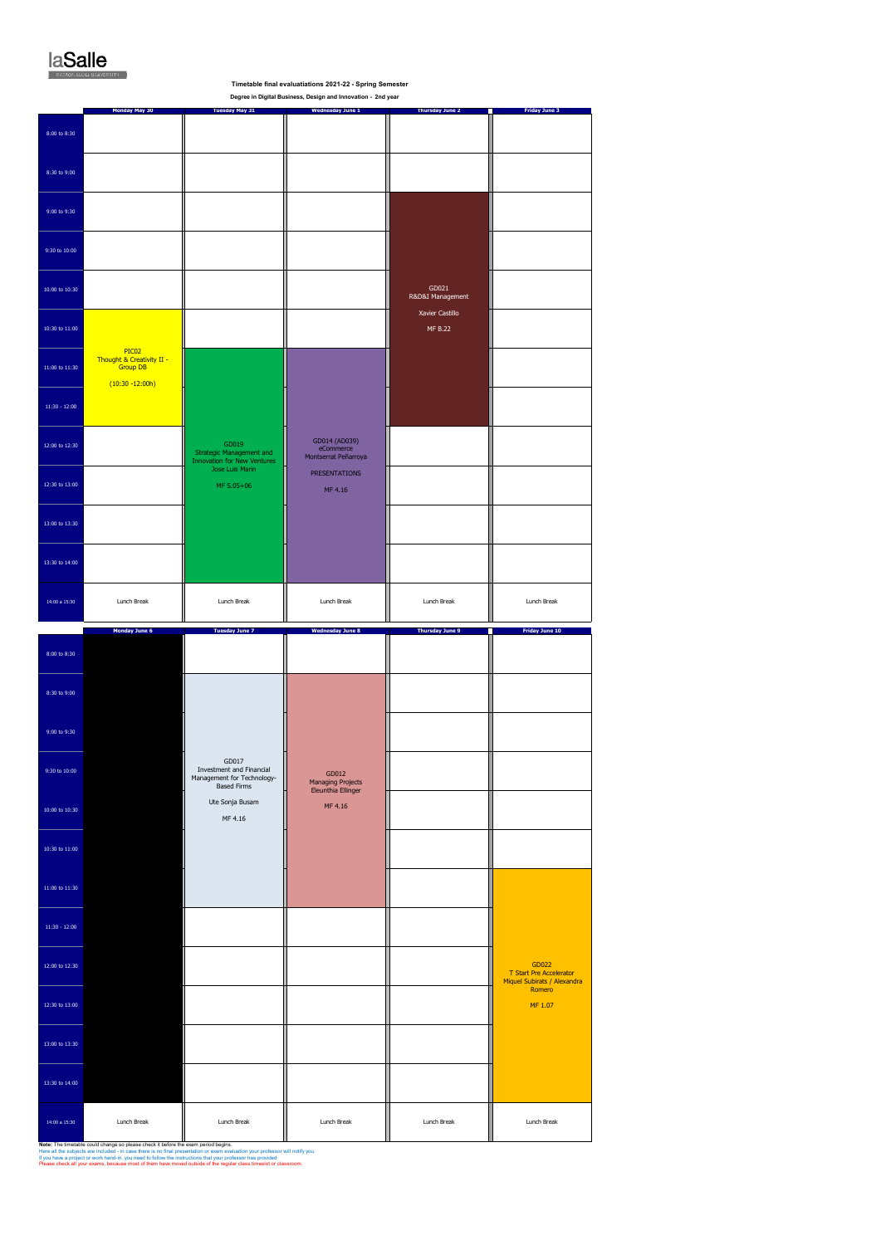

|                                        |                                                                             |                                                                                              | Degree in Digital Business, Design and Innovation - 2nd year |                            |                                                                 |
|----------------------------------------|-----------------------------------------------------------------------------|----------------------------------------------------------------------------------------------|--------------------------------------------------------------|----------------------------|-----------------------------------------------------------------|
| 8:00 to 8:30                           | Monday May 30                                                               | <b>Tuesday May 31</b>                                                                        | <b>Wednesday June 1</b>                                      | <b>Thursday June 2</b>     | <b>Friday June 3</b>                                            |
| 8:30 to 9:00                           |                                                                             |                                                                                              |                                                              |                            |                                                                 |
| 9:00 to 9:30                           |                                                                             |                                                                                              |                                                              |                            |                                                                 |
| 9:30 to 10:00                          |                                                                             |                                                                                              |                                                              |                            |                                                                 |
| $10:00$ to $10:30$                     |                                                                             |                                                                                              |                                                              | GD021<br>R&D&I Management  |                                                                 |
| $10:30$ to $11:00$                     |                                                                             |                                                                                              |                                                              | Xavier Castillo<br>MF B.22 |                                                                 |
| $11\mathord{:}00$ to $11\mathord{:}30$ | PIC02<br>Thought & Creativity II -<br><b>Group DB</b><br>$(10:30 - 12:00h)$ |                                                                                              |                                                              |                            |                                                                 |
| $11:30 - 12:00$                        |                                                                             |                                                                                              |                                                              |                            |                                                                 |
| 12:00 to 12:30                         |                                                                             | GD019<br>Strategic Management and<br><b>Innovation for New Ventures</b>                      | GD014 (AD039)<br>eCommerce<br>Montserrat Peñarroya           |                            |                                                                 |
| 12:30 to 13:00                         |                                                                             | Jose Luis Marin<br>MF S.05+06                                                                | <b>PRESENTATIONS</b><br>MF 4.16                              |                            |                                                                 |
| 13:00 to 13:30                         |                                                                             |                                                                                              |                                                              |                            |                                                                 |
| 13:30 to 14:00                         |                                                                             |                                                                                              |                                                              |                            |                                                                 |
| 14:00 a 15:30                          | Lunch Break                                                                 | Lunch Break                                                                                  | Lunch Break                                                  | Lunch Break                | Lunch Break                                                     |
|                                        |                                                                             |                                                                                              |                                                              |                            |                                                                 |
|                                        | Monday June 6                                                               | <b>Tuesday June 7</b>                                                                        | <b>Wednesday June 8</b>                                      | <b>Thursday June 9</b>     | <b>Friday June 10</b>                                           |
| $8:00$ to $8:30$                       |                                                                             |                                                                                              |                                                              |                            |                                                                 |
| 8:30 to 9:00                           |                                                                             |                                                                                              |                                                              |                            |                                                                 |
| 9:00 to 9:30                           |                                                                             |                                                                                              |                                                              |                            |                                                                 |
| $9:30 \text{ to } 10:00$               |                                                                             | GD017<br><b>Investment and Financial</b><br>Management for Technology-<br><b>Based Firms</b> | GD012<br>Managing Projects<br>Eleunthia Ellinger             |                            |                                                                 |
| 10:00 to 10:30                         |                                                                             | Ute Sonja Busam<br>MF 4.16                                                                   | MF 4.16                                                      |                            |                                                                 |
| 10:30 to $11:00$                       |                                                                             |                                                                                              |                                                              |                            |                                                                 |
| $11\text{:}00$ to $11\text{:}30$       |                                                                             |                                                                                              |                                                              |                            |                                                                 |
| $11:30 - 12:00$                        |                                                                             |                                                                                              |                                                              |                            |                                                                 |
| 12:00 to 12:30                         |                                                                             |                                                                                              |                                                              |                            | GD022<br>T Start Pre Accelerator<br>Miquel Subirats / Alexandra |
| 12:30 to 13:00                         |                                                                             |                                                                                              |                                                              |                            | Romero<br>MF 1.07                                               |
| 13:00 to 13:30                         |                                                                             |                                                                                              |                                                              |                            |                                                                 |
| 13:30 to 14:00                         |                                                                             |                                                                                              |                                                              |                            |                                                                 |

**e** final evaluatiations 2021-22 - Spring Ser

**Note:** The timetable could change so please check it before the exam period begins.<br>Here all the subjects are included - in case there is no final presentation or exam evaluation your professor will notify you.<br>If you hav